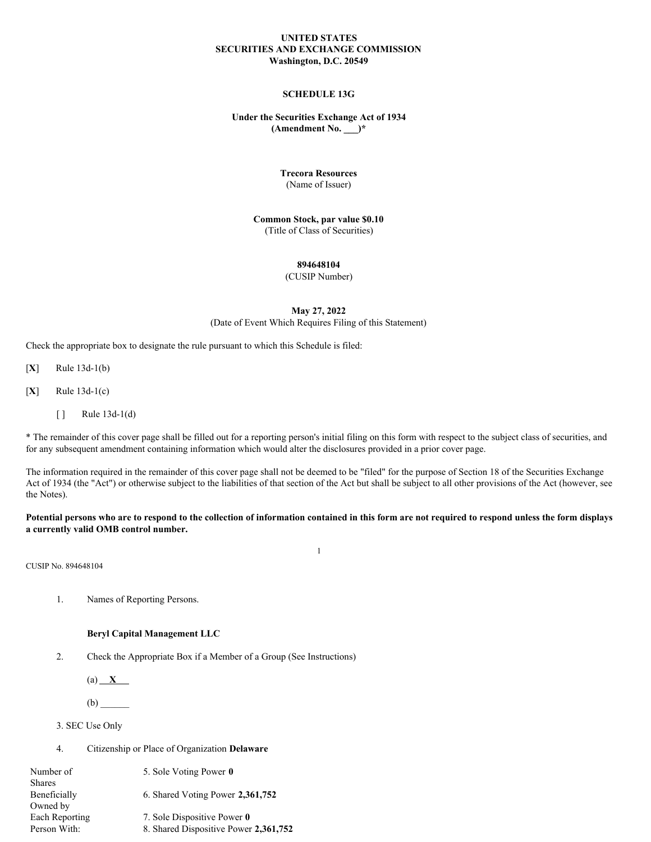## **UNITED STATES SECURITIES AND EXCHANGE COMMISSION Washington, D.C. 20549**

# **SCHEDULE 13G**

# **Under the Securities Exchange Act of 1934 (Amendment No. \_\_\_)\***

## **Trecora Resources**

(Name of Issuer)

#### **Common Stock, par value \$0.10** (Title of Class of Securities)

## **894648104**

#### (CUSIP Number)

## **May 27, 2022** (Date of Event Which Requires Filing of this Statement)

Check the appropriate box to designate the rule pursuant to which this Schedule is filed:

[**X**] Rule 13d-1(b)

[**X**] Rule 13d-1(c)

[ ] Rule 13d-1(d)

\* The remainder of this cover page shall be filled out for a reporting person's initial filing on this form with respect to the subject class of securities, and for any subsequent amendment containing information which would alter the disclosures provided in a prior cover page.

The information required in the remainder of this cover page shall not be deemed to be "filed" for the purpose of Section 18 of the Securities Exchange Act of 1934 (the "Act") or otherwise subject to the liabilities of that section of the Act but shall be subject to all other provisions of the Act (however, see the Notes).

Potential persons who are to respond to the collection of information contained in this form are not required to respond unless the form displays **a currently valid OMB control number.**

1

CUSIP No. 894648104

1. Names of Reporting Persons.

#### **Beryl Capital Management LLC**

2. Check the Appropriate Box if a Member of a Group (See Instructions)

 $(a)$   $X$ 

(b) \_\_\_\_\_\_

3. SEC Use Only

4. Citizenship or Place of Organization **Delaware**

| Number of      | 5. Sole Voting Power 0                |
|----------------|---------------------------------------|
| <b>Shares</b>  |                                       |
| Beneficially   | 6. Shared Voting Power 2,361,752      |
| Owned by       |                                       |
| Each Reporting | 7. Sole Dispositive Power 0           |
| Person With:   | 8. Shared Dispositive Power 2,361,752 |
|                |                                       |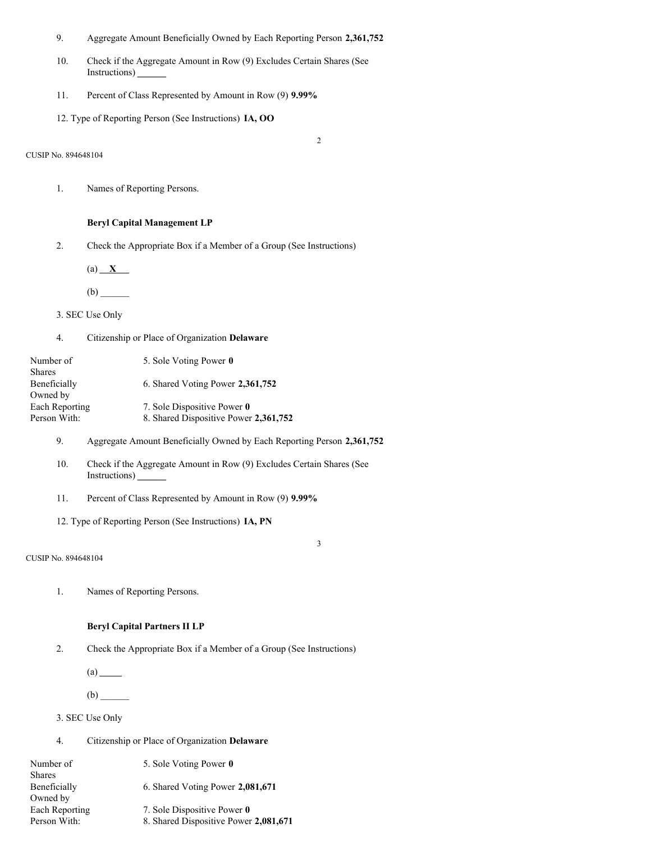- 9. Aggregate Amount Beneficially Owned by Each Reporting Person **2,361,752**
- 10. Check if the Aggregate Amount in Row (9) Excludes Certain Shares (See Instructions) **\_\_\_\_\_\_**
- 11. Percent of Class Represented by Amount in Row (9) **9.99%**
- 12. Type of Reporting Person (See Instructions) **IA, OO**

CUSIP No. 894648104

2

3

1. Names of Reporting Persons.

# **Beryl Capital Management LP**

2. Check the Appropriate Box if a Member of a Group (See Instructions)

(a) **X**

(b) \_\_\_\_\_\_

3. SEC Use Only

4. Citizenship or Place of Organization **Delaware**

| Number of      | 5. Sole Voting Power 0                |
|----------------|---------------------------------------|
| <b>Shares</b>  |                                       |
| Beneficially   | 6. Shared Voting Power 2,361,752      |
| Owned by       |                                       |
| Each Reporting | 7. Sole Dispositive Power 0           |
| Person With:   | 8. Shared Dispositive Power 2,361,752 |

- 9. Aggregate Amount Beneficially Owned by Each Reporting Person **2,361,752**
- 10. Check if the Aggregate Amount in Row (9) Excludes Certain Shares (See Instructions) **\_\_\_\_\_\_**
- 11. Percent of Class Represented by Amount in Row (9) **9.99%**
- 12. Type of Reporting Person (See Instructions) **IA, PN**

#### CUSIP No. 894648104

1. Names of Reporting Persons.

## **Beryl Capital Partners II LP**

2. Check the Appropriate Box if a Member of a Group (See Instructions)

 $(a)$ <sub> $\qquad$ </sub>

 $(b)$ 

- 3. SEC Use Only
- 4. Citizenship or Place of Organization **Delaware**

| Number of      | 5. Sole Voting Power 0                |
|----------------|---------------------------------------|
| Shares         |                                       |
| Beneficially   | 6. Shared Voting Power 2,081,671      |
| Owned by       |                                       |
| Each Reporting | 7. Sole Dispositive Power 0           |
| Person With:   | 8. Shared Dispositive Power 2,081,671 |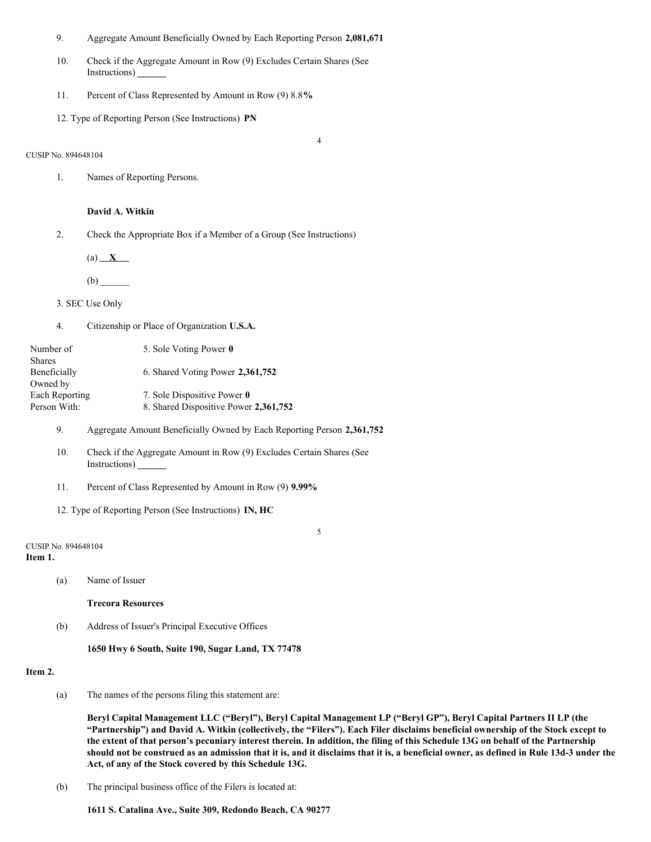- 9. Aggregate Amount Beneficially Owned by Each Reporting Person **2,081,671**
- 10. Check if the Aggregate Amount in Row (9) Excludes Certain Shares (See Instructions) **\_\_\_\_\_\_**

4

- 11. Percent of Class Represented by Amount in Row (9) 8.8**%**
- 12. Type of Reporting Person (See Instructions) **PN**

#### CUSIP No. 894648104

1. Names of Reporting Persons.

# **David A. Witkin**

2. Check the Appropriate Box if a Member of a Group (See Instructions)

 $(a)$   $X$ 

 $(b)$ 

3. SEC Use Only

4. Citizenship or Place of Organization **U.S.A.**

| Number of<br>Shares            | 5. Sole Voting Power 0                                               |
|--------------------------------|----------------------------------------------------------------------|
| Beneficially<br>Owned by       | 6. Shared Voting Power 2,361,752                                     |
| Each Reporting<br>Person With: | 7. Sole Dispositive Power 0<br>8. Shared Dispositive Power 2,361,752 |

- 9. Aggregate Amount Beneficially Owned by Each Reporting Person **2,361,752**
- 10. Check if the Aggregate Amount in Row (9) Excludes Certain Shares (See Instructions) **\_\_\_\_\_\_**
- 11. Percent of Class Represented by Amount in Row (9) **9.99%**
- 12. Type of Reporting Person (See Instructions) **IN, HC**

CUSIP No. 894648104 **Item 1.**

(a) Name of Issuer

**Trecora Resources**

(b) Address of Issuer's Principal Executive Offices

**1650 Hwy 6 South, Suite 190, Sugar Land, TX 77478**

#### **Item 2.**

(a) The names of the persons filing this statement are:

Beryl Capital Management LLC ("Beryl"), Beryl Capital Management LP ("Beryl GP"), Beryl Capital Partners II LP (the "Partnership") and David A. Witkin (collectively, the "Filers"). Each Filer disclaims beneficial ownership of the Stock except to the extent of that person's pecuniary interest therein. In addition, the filing of this Schedule 13G on behalf of the Partnership should not be construed as an admission that it is, and it disclaims that it is, a beneficial owner, as defined in Rule 13d-3 under the **Act, of any of the Stock covered by this Schedule 13G.**

5

(b) The principal business office of the Filers is located at:

**1611 S. Catalina Ave., Suite 309, Redondo Beach, CA 90277**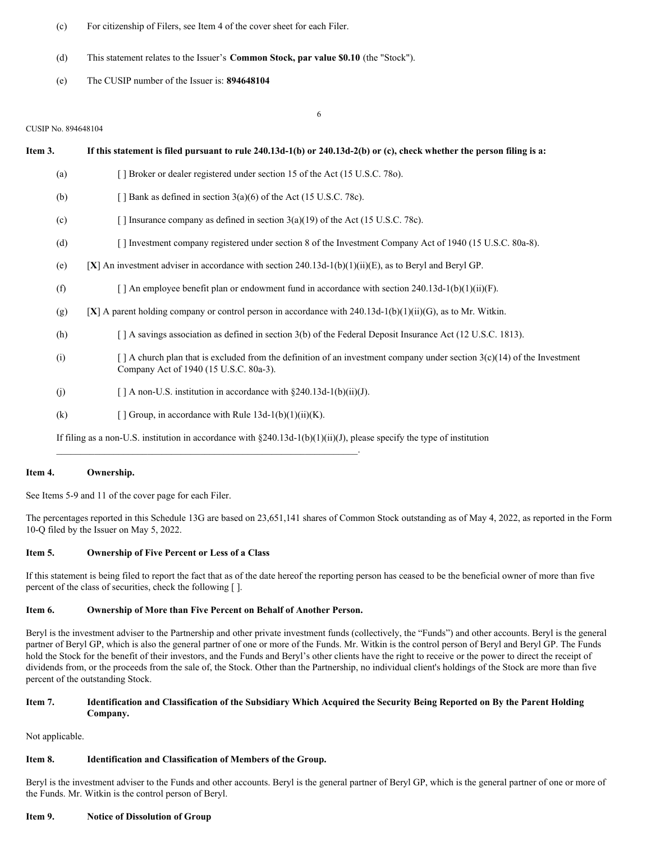- (c) For citizenship of Filers, see Item 4 of the cover sheet for each Filer.
- (d) This statement relates to the Issuer's **Common Stock, par value \$0.10** (the "Stock").
- (e) The CUSIP number of the Issuer is: **894648104**

#### CUSIP No. 894648104

| Item 3. | If this statement is filed pursuant to rule $240.13d-1(b)$ or $240.13d-2(b)$ or (c), check whether the person filing is a:                                              |
|---------|-------------------------------------------------------------------------------------------------------------------------------------------------------------------------|
| (a)     | [] Broker or dealer registered under section 15 of the Act (15 U.S.C. 780).                                                                                             |
| (b)     | [ $\vert$ Bank as defined in section 3(a)(6) of the Act (15 U.S.C. 78c).                                                                                                |
| (c)     | [ ] Insurance company as defined in section $3(a)(19)$ of the Act (15 U.S.C. 78c).                                                                                      |
| (d)     | [] Investment company registered under section 8 of the Investment Company Act of 1940 (15 U.S.C. 80a-8).                                                               |
| (e)     | [X] An investment adviser in accordance with section 240.13d-1(b)(1)(ii)(E), as to Beryl and Beryl GP.                                                                  |
| (f)     | $\lceil$ An employee benefit plan or endowment fund in accordance with section 240.13d-1(b)(1)(ii)(F).                                                                  |
| (g)     | [X] A parent holding company or control person in accordance with $240.13d-1(b)(1)(ii)(G)$ , as to Mr. Witkin.                                                          |
| (h)     | [ ] A savings association as defined in section 3(b) of the Federal Deposit Insurance Act (12 U.S.C. 1813).                                                             |
| (i)     | $\lceil$ A church plan that is excluded from the definition of an investment company under section 3(c)(14) of the Investment<br>Company Act of 1940 (15 U.S.C. 80a-3). |
| (j)     | [] A non-U.S. institution in accordance with $\S 240.13d-1(b)(ii)(J)$ .                                                                                                 |
| (k)     | [ ] Group, in accordance with Rule $13d-1(b)(1)(ii)(K)$ .                                                                                                               |
|         | If filing as a non-U.S. institution in accordance with $\S 240.13d-1(b)(1)(ii)(J)$ , please specify the type of institution                                             |

6

## **Item 4. Ownership.**

See Items 5-9 and 11 of the cover page for each Filer.

The percentages reported in this Schedule 13G are based on 23,651,141 shares of Common Stock outstanding as of May 4, 2022, as reported in the Form 10-Q filed by the Issuer on May 5, 2022.

#### **Item 5. Ownership of Five Percent or Less of a Class**

If this statement is being filed to report the fact that as of the date hereof the reporting person has ceased to be the beneficial owner of more than five percent of the class of securities, check the following [ ].

## **Item 6. Ownership of More than Five Percent on Behalf of Another Person.**

 $\mathcal{L}_\text{max} = \mathcal{L}_\text{max} = \mathcal{L}_\text{max} = \mathcal{L}_\text{max} = \mathcal{L}_\text{max} = \mathcal{L}_\text{max} = \mathcal{L}_\text{max} = \mathcal{L}_\text{max} = \mathcal{L}_\text{max} = \mathcal{L}_\text{max} = \mathcal{L}_\text{max} = \mathcal{L}_\text{max} = \mathcal{L}_\text{max} = \mathcal{L}_\text{max} = \mathcal{L}_\text{max} = \mathcal{L}_\text{max} = \mathcal{L}_\text{max} = \mathcal{L}_\text{max} = \mathcal{$ 

Beryl is the investment adviser to the Partnership and other private investment funds (collectively, the "Funds") and other accounts. Beryl is the general partner of Beryl GP, which is also the general partner of one or more of the Funds. Mr. Witkin is the control person of Beryl and Beryl GP. The Funds hold the Stock for the benefit of their investors, and the Funds and Beryl's other clients have the right to receive or the power to direct the receipt of dividends from, or the proceeds from the sale of, the Stock. Other than the Partnership, no individual client's holdings of the Stock are more than five percent of the outstanding Stock.

# Item 7. Identification and Classification of the Subsidiary Which Acquired the Security Being Reported on By the Parent Holding **Company.**

Not applicable.

## **Item 8. Identification and Classification of Members of the Group.**

Beryl is the investment adviser to the Funds and other accounts. Beryl is the general partner of Beryl GP, which is the general partner of one or more of the Funds. Mr. Witkin is the control person of Beryl.

#### **Item 9. Notice of Dissolution of Group**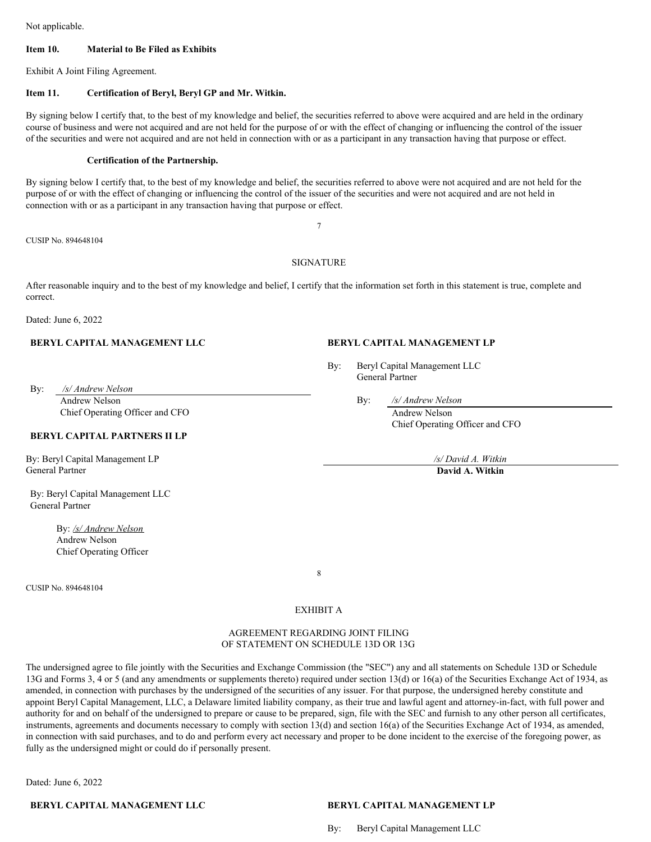Not applicable.

## **Item 10. Material to Be Filed as Exhibits**

Exhibit A Joint Filing Agreement.

#### **Item 11. Certification of Beryl, Beryl GP and Mr. Witkin.**

By signing below I certify that, to the best of my knowledge and belief, the securities referred to above were acquired and are held in the ordinary course of business and were not acquired and are not held for the purpose of or with the effect of changing or influencing the control of the issuer of the securities and were not acquired and are not held in connection with or as a participant in any transaction having that purpose or effect.

#### **Certification of the Partnership.**

By signing below I certify that, to the best of my knowledge and belief, the securities referred to above were not acquired and are not held for the purpose of or with the effect of changing or influencing the control of the issuer of the securities and were not acquired and are not held in connection with or as a participant in any transaction having that purpose or effect.

CUSIP No. 894648104

## SIGNATURE

After reasonable inquiry and to the best of my knowledge and belief, I certify that the information set forth in this statement is true, complete and correct.

Dated: June 6, 2022

#### **BERYL CAPITAL MANAGEMENT LLC BERYL CAPITAL MANAGEMENT LP**

By: Beryl Capital Management LLC General Partner

By: */s/ Andrew Nelson* Andrew Nelson By: */s/ Andrew Nelson*

Chief Operating Officer and CFO Andrew Nelson Andrew Nelson

# **BERYL CAPITAL PARTNERS II LP**

By: Beryl Capital Management LP */s/ David A. Witkin* General Partner **David A. Witkin**

By: Beryl Capital Management LLC General Partner

> By: */s/ Andrew Nelson* Andrew Nelson Chief Operating Officer

CUSIP No. 894648104

8

EXHIBIT A

## AGREEMENT REGARDING JOINT FILING OF STATEMENT ON SCHEDULE 13D OR 13G

The undersigned agree to file jointly with the Securities and Exchange Commission (the "SEC") any and all statements on Schedule 13D or Schedule 13G and Forms 3, 4 or 5 (and any amendments or supplements thereto) required under section 13(d) or 16(a) of the Securities Exchange Act of 1934, as amended, in connection with purchases by the undersigned of the securities of any issuer. For that purpose, the undersigned hereby constitute and appoint Beryl Capital Management, LLC, a Delaware limited liability company, as their true and lawful agent and attorney-in-fact, with full power and authority for and on behalf of the undersigned to prepare or cause to be prepared, sign, file with the SEC and furnish to any other person all certificates, instruments, agreements and documents necessary to comply with section 13(d) and section 16(a) of the Securities Exchange Act of 1934, as amended, in connection with said purchases, and to do and perform every act necessary and proper to be done incident to the exercise of the foregoing power, as fully as the undersigned might or could do if personally present.

Dated: June 6, 2022

**BERYL CAPITAL MANAGEMENT LLC BERYL CAPITAL MANAGEMENT LP**

By: Beryl Capital Management LLC

Chief Operating Officer and CFO

7